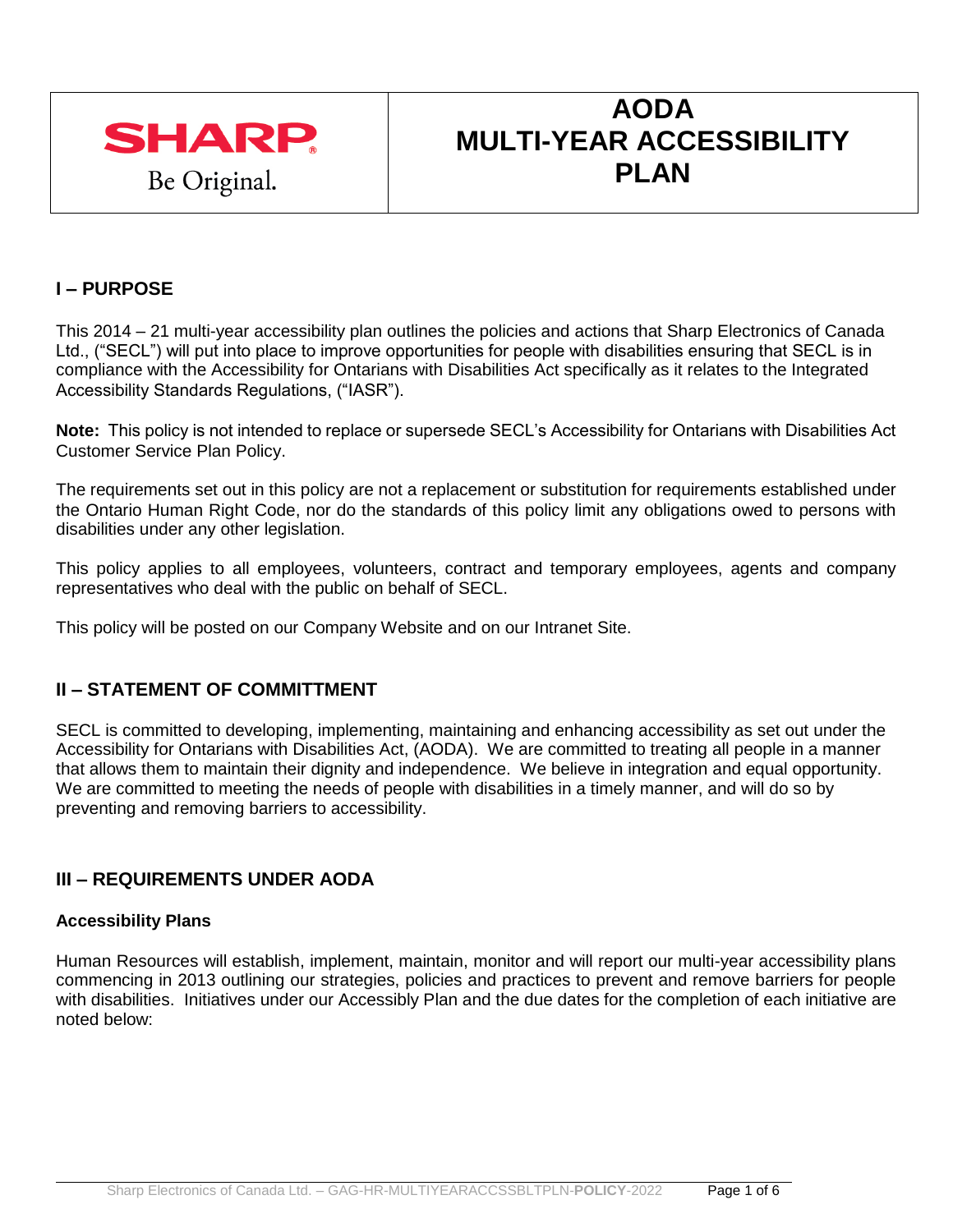

# **AODA MULTI-YEAR ACCESSIBILITY PLAN**

# **I – PURPOSE**

This 2014 – 21 multi-year accessibility plan outlines the policies and actions that Sharp Electronics of Canada Ltd., ("SECL") will put into place to improve opportunities for people with disabilities ensuring that SECL is in compliance with the Accessibility for Ontarians with Disabilities Act specifically as it relates to the Integrated Accessibility Standards Regulations, ("IASR").

**Note:** This policy is not intended to replace or supersede SECL's Accessibility for Ontarians with Disabilities Act Customer Service Plan Policy.

The requirements set out in this policy are not a replacement or substitution for requirements established under the Ontario Human Right Code, nor do the standards of this policy limit any obligations owed to persons with disabilities under any other legislation.

This policy applies to all employees, volunteers, contract and temporary employees, agents and company representatives who deal with the public on behalf of SECL.

This policy will be posted on our Company Website and on our Intranet Site.

# **II – STATEMENT OF COMMITTMENT**

SECL is committed to developing, implementing, maintaining and enhancing accessibility as set out under the Accessibility for Ontarians with Disabilities Act, (AODA). We are committed to treating all people in a manner that allows them to maintain their dignity and independence. We believe in integration and equal opportunity. We are committed to meeting the needs of people with disabilities in a timely manner, and will do so by preventing and removing barriers to accessibility.

# **III – REQUIREMENTS UNDER AODA**

#### **Accessibility Plans**

Human Resources will establish, implement, maintain, monitor and will report our multi-year accessibility plans commencing in 2013 outlining our strategies, policies and practices to prevent and remove barriers for people with disabilities. Initiatives under our Accessibly Plan and the due dates for the completion of each initiative are noted below: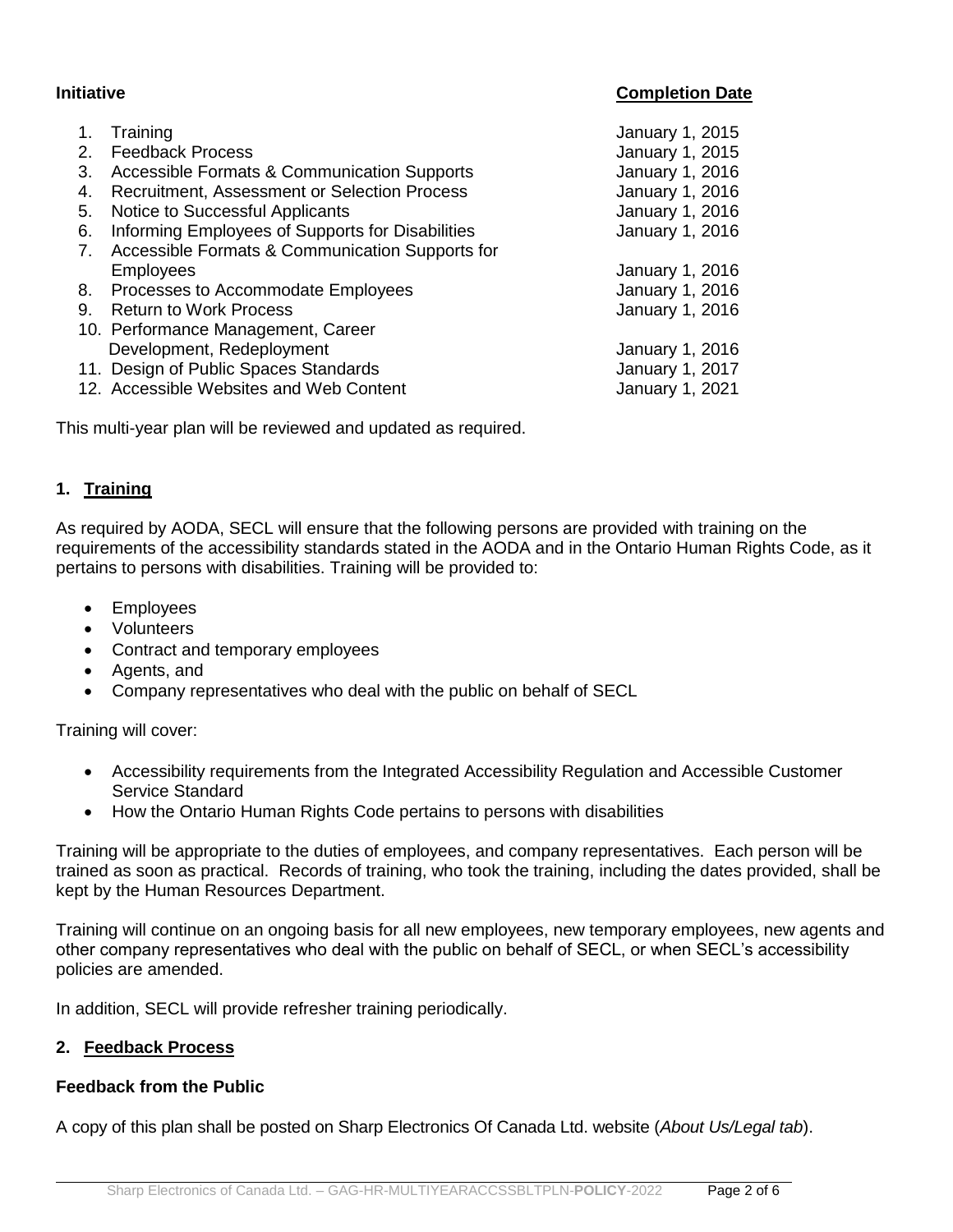#### **Initiative Completion Date**

| 2.<br>3. | Training<br><b>Feedback Process</b><br><b>Accessible Formats &amp; Communication Supports</b> | January 1, 2015<br>January 1, 2015<br>January 1, 2016 |
|----------|-----------------------------------------------------------------------------------------------|-------------------------------------------------------|
| 4.       | Recruitment, Assessment or Selection Process                                                  | January 1, 2016                                       |
| 5.       | <b>Notice to Successful Applicants</b>                                                        | January 1, 2016                                       |
| 6.       | Informing Employees of Supports for Disabilities                                              | January 1, 2016                                       |
| 7.       | Accessible Formats & Communication Supports for                                               |                                                       |
|          | <b>Employees</b>                                                                              | January 1, 2016                                       |
|          | 8. Processes to Accommodate Employees                                                         | January 1, 2016                                       |
| 9.       | <b>Return to Work Process</b>                                                                 | January 1, 2016                                       |
|          | 10. Performance Management, Career                                                            |                                                       |
|          | Development, Redeployment                                                                     | January 1, 2016                                       |
|          | 11. Design of Public Spaces Standards                                                         | January 1, 2017                                       |
|          | 12. Accessible Websites and Web Content                                                       | January 1, 2021                                       |

This multi-year plan will be reviewed and updated as required.

#### **1. Training**

As required by AODA, SECL will ensure that the following persons are provided with training on the requirements of the accessibility standards stated in the AODA and in the Ontario Human Rights Code, as it pertains to persons with disabilities. Training will be provided to:

- Employees
- Volunteers
- Contract and temporary employees
- Agents, and
- Company representatives who deal with the public on behalf of SECL

Training will cover:

- Accessibility requirements from the Integrated Accessibility Regulation and Accessible Customer Service Standard
- How the Ontario Human Rights Code pertains to persons with disabilities

Training will be appropriate to the duties of employees, and company representatives. Each person will be trained as soon as practical. Records of training, who took the training, including the dates provided, shall be kept by the Human Resources Department.

Training will continue on an ongoing basis for all new employees, new temporary employees, new agents and other company representatives who deal with the public on behalf of SECL, or when SECL's accessibility policies are amended.

In addition, SECL will provide refresher training periodically.

#### **2. Feedback Process**

#### **Feedback from the Public**

A copy of this plan shall be posted on Sharp Electronics Of Canada Ltd. website (*About Us/Legal tab*).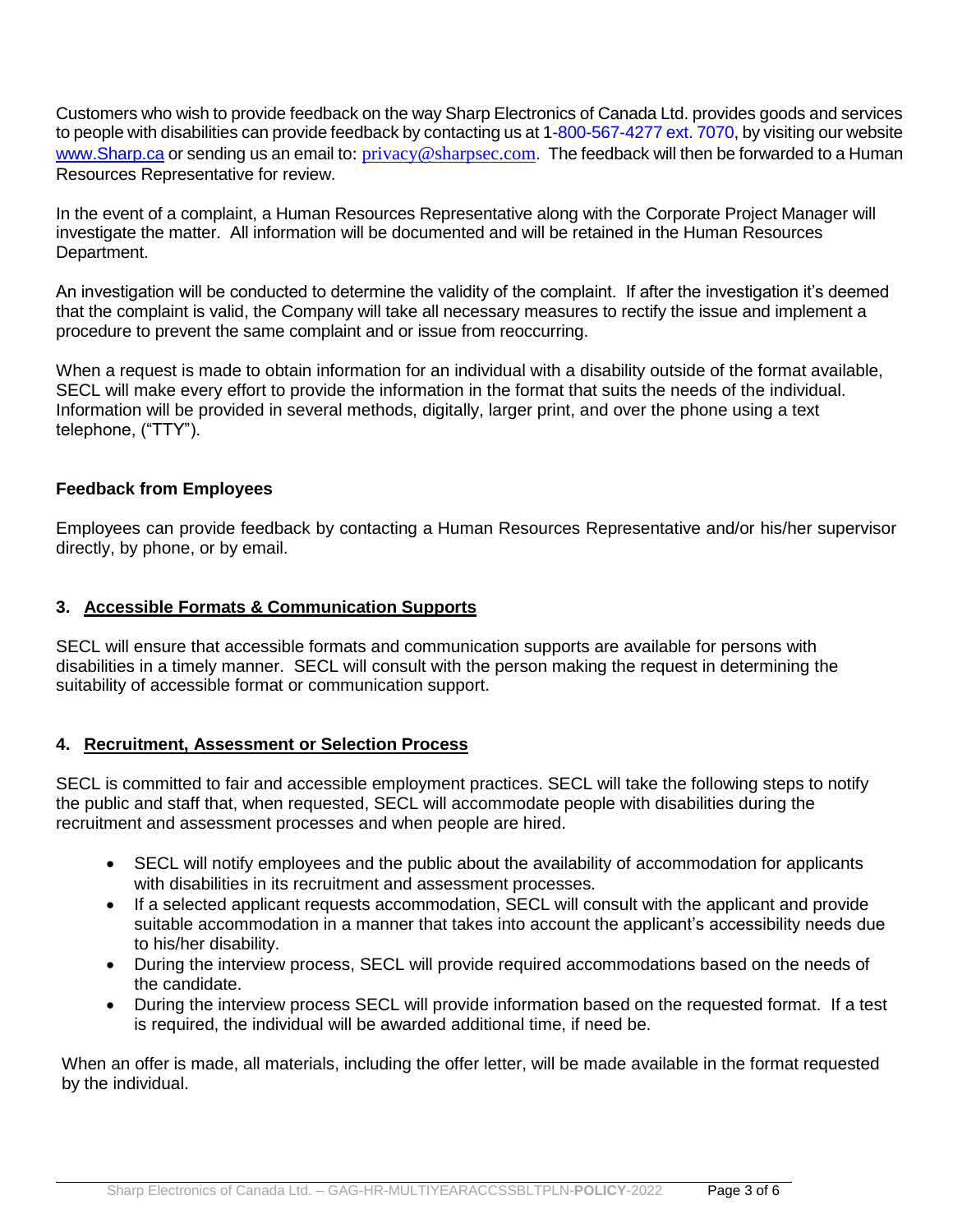Customers who wish to provide feedback on the way Sharp Electronics of Canada Ltd. provides goods and services to people with disabilities can provide feedback by contacting us at 1-800-567-4277 ext. 7070, by visiting our website [www.Sharp.ca](http://www.sharp.ca/) or sending us an email to: [privacy@sharpsec.com](mailto:privacy@sharpsec.com?subject=sharp.ca%20Privacy%20Policy). The feedback will then be forwarded to a Human Resources Representative for review.

In the event of a complaint, a Human Resources Representative along with the Corporate Project Manager will investigate the matter. All information will be documented and will be retained in the Human Resources Department.

An investigation will be conducted to determine the validity of the complaint. If after the investigation it's deemed that the complaint is valid, the Company will take all necessary measures to rectify the issue and implement a procedure to prevent the same complaint and or issue from reoccurring.

When a request is made to obtain information for an individual with a disability outside of the format available, SECL will make every effort to provide the information in the format that suits the needs of the individual. Information will be provided in several methods, digitally, larger print, and over the phone using a text telephone, ("TTY").

### **Feedback from Employees**

Employees can provide feedback by contacting a Human Resources Representative and/or his/her supervisor directly, by phone, or by email.

#### **3. Accessible Formats & Communication Supports**

SECL will ensure that accessible formats and communication supports are available for persons with disabilities in a timely manner. SECL will consult with the person making the request in determining the suitability of accessible format or communication support.

#### **4. Recruitment, Assessment or Selection Process**

SECL is committed to fair and accessible employment practices. SECL will take the following steps to notify the public and staff that, when requested, SECL will accommodate people with disabilities during the recruitment and assessment processes and when people are hired.

- SECL will notify employees and the public about the availability of accommodation for applicants with disabilities in its recruitment and assessment processes.
- If a selected applicant requests accommodation, SECL will consult with the applicant and provide suitable accommodation in a manner that takes into account the applicant's accessibility needs due to his/her disability.
- During the interview process, SECL will provide required accommodations based on the needs of the candidate.
- During the interview process SECL will provide information based on the requested format. If a test is required, the individual will be awarded additional time, if need be.

When an offer is made, all materials, including the offer letter, will be made available in the format requested by the individual.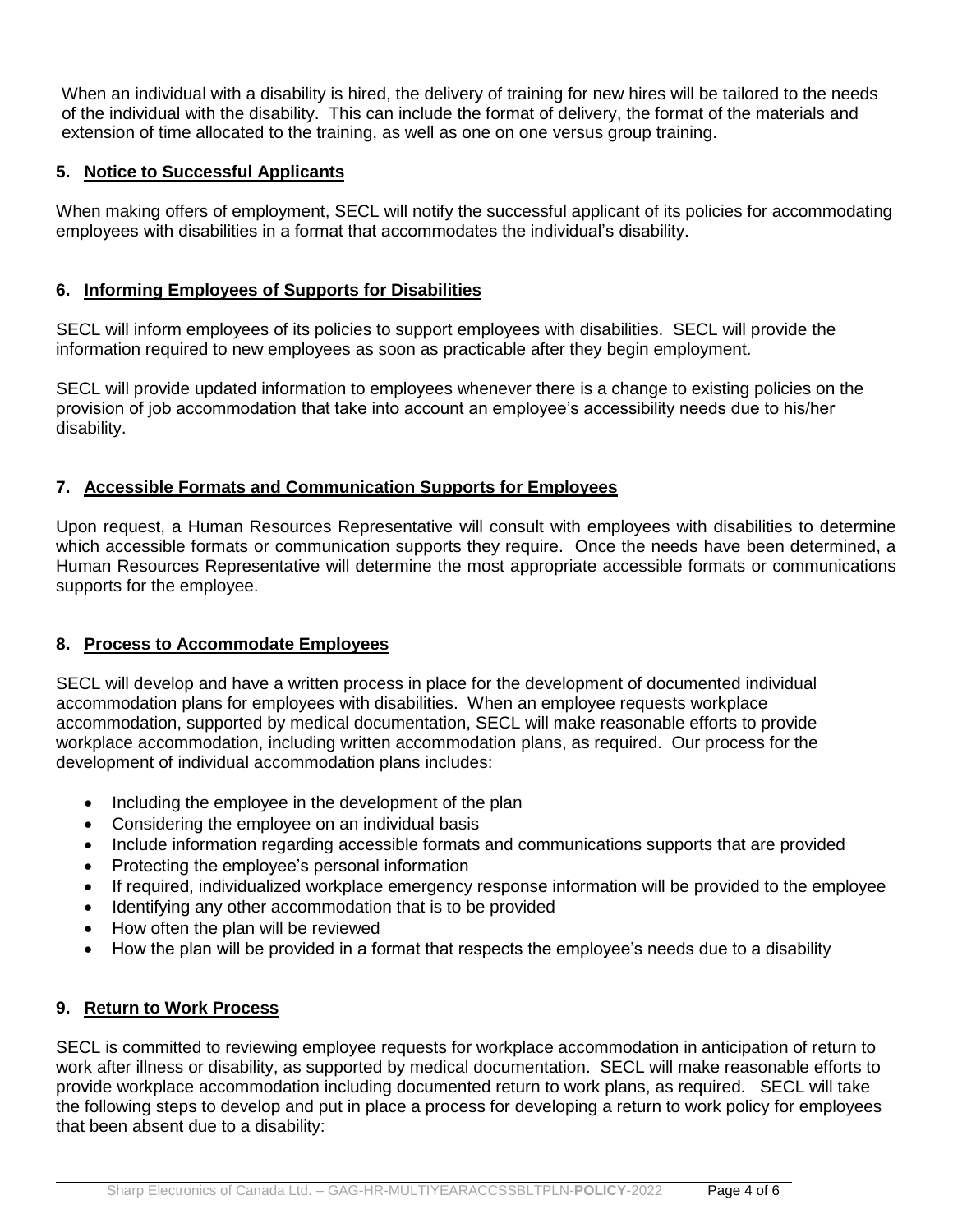When an individual with a disability is hired, the delivery of training for new hires will be tailored to the needs of the individual with the disability. This can include the format of delivery, the format of the materials and extension of time allocated to the training, as well as one on one versus group training.

### **5. Notice to Successful Applicants**

When making offers of employment, SECL will notify the successful applicant of its policies for accommodating employees with disabilities in a format that accommodates the individual's disability.

### **6. Informing Employees of Supports for Disabilities**

SECL will inform employees of its policies to support employees with disabilities. SECL will provide the information required to new employees as soon as practicable after they begin employment.

SECL will provide updated information to employees whenever there is a change to existing policies on the provision of job accommodation that take into account an employee's accessibility needs due to his/her disability.

### **7. Accessible Formats and Communication Supports for Employees**

Upon request, a Human Resources Representative will consult with employees with disabilities to determine which accessible formats or communication supports they require. Once the needs have been determined, a Human Resources Representative will determine the most appropriate accessible formats or communications supports for the employee.

#### **8. Process to Accommodate Employees**

SECL will develop and have a written process in place for the development of documented individual accommodation plans for employees with disabilities. When an employee requests workplace accommodation, supported by medical documentation, SECL will make reasonable efforts to provide workplace accommodation, including written accommodation plans, as required. Our process for the development of individual accommodation plans includes:

- Including the employee in the development of the plan
- Considering the employee on an individual basis
- Include information regarding accessible formats and communications supports that are provided
- Protecting the employee's personal information
- If required, individualized workplace emergency response information will be provided to the employee
- Identifying any other accommodation that is to be provided
- How often the plan will be reviewed
- How the plan will be provided in a format that respects the employee's needs due to a disability

# **9. Return to Work Process**

SECL is committed to reviewing employee requests for workplace accommodation in anticipation of return to work after illness or disability, as supported by medical documentation. SECL will make reasonable efforts to provide workplace accommodation including documented return to work plans, as required. SECL will take the following steps to develop and put in place a process for developing a return to work policy for employees that been absent due to a disability: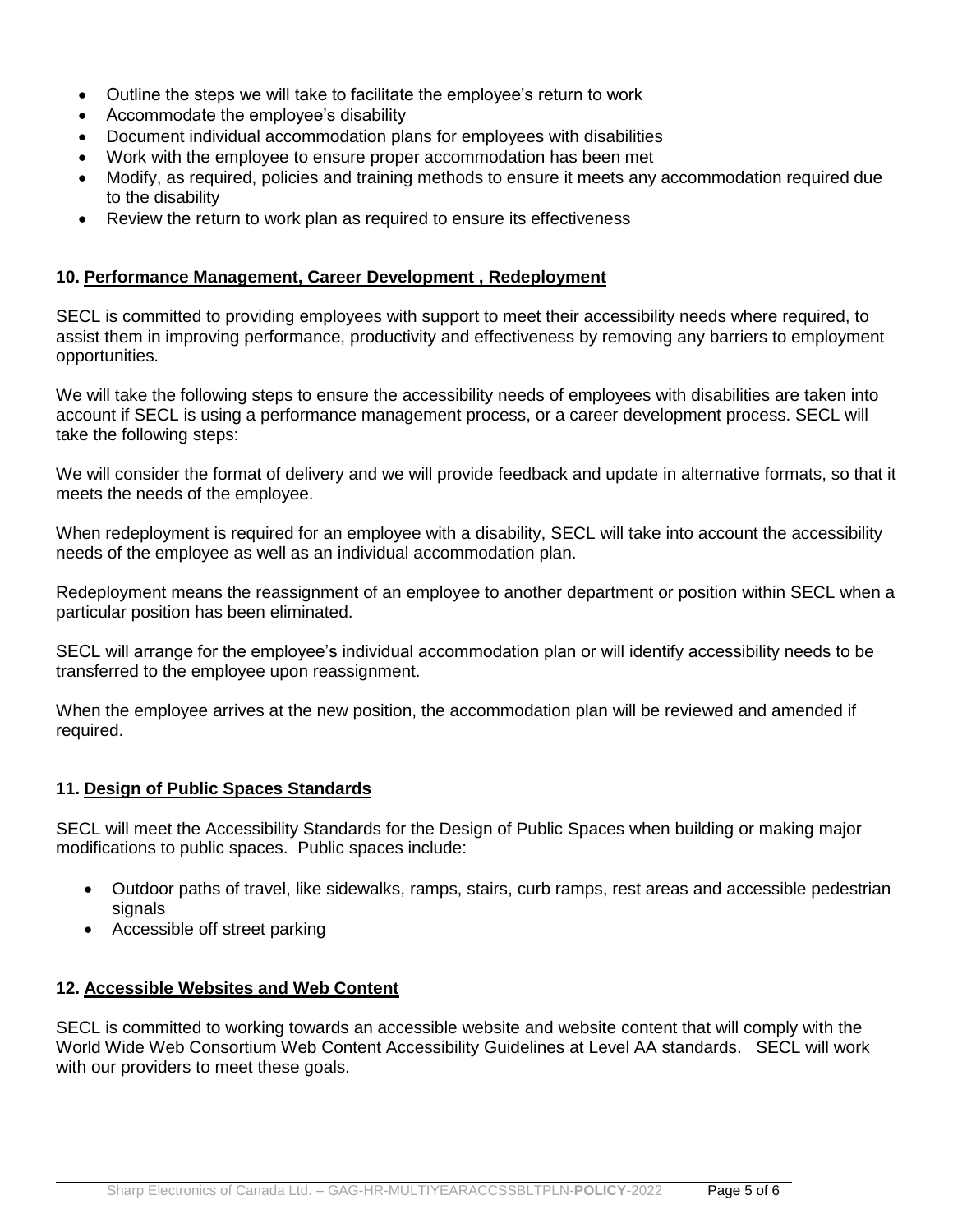- Outline the steps we will take to facilitate the employee's return to work
- Accommodate the employee's disability
- Document individual accommodation plans for employees with disabilities
- Work with the employee to ensure proper accommodation has been met
- Modify, as required, policies and training methods to ensure it meets any accommodation required due to the disability
- Review the return to work plan as required to ensure its effectiveness

#### **10. Performance Management, Career Development , Redeployment**

SECL is committed to providing employees with support to meet their accessibility needs where required, to assist them in improving performance, productivity and effectiveness by removing any barriers to employment opportunities.

We will take the following steps to ensure the accessibility needs of employees with disabilities are taken into account if SECL is using a performance management process, or a career development process. SECL will take the following steps:

We will consider the format of delivery and we will provide feedback and update in alternative formats, so that it meets the needs of the employee.

When redeployment is required for an employee with a disability, SECL will take into account the accessibility needs of the employee as well as an individual accommodation plan.

Redeployment means the reassignment of an employee to another department or position within SECL when a particular position has been eliminated.

SECL will arrange for the employee's individual accommodation plan or will identify accessibility needs to be transferred to the employee upon reassignment.

When the employee arrives at the new position, the accommodation plan will be reviewed and amended if required.

#### **11. Design of Public Spaces Standards**

SECL will meet the Accessibility Standards for the Design of Public Spaces when building or making major modifications to public spaces. Public spaces include:

- Outdoor paths of travel, like sidewalks, ramps, stairs, curb ramps, rest areas and accessible pedestrian signals
- Accessible off street parking

#### **12. Accessible Websites and Web Content**

SECL is committed to working towards an accessible website and website content that will comply with the World Wide Web Consortium Web Content Accessibility Guidelines at Level AA standards. SECL will work with our providers to meet these goals.